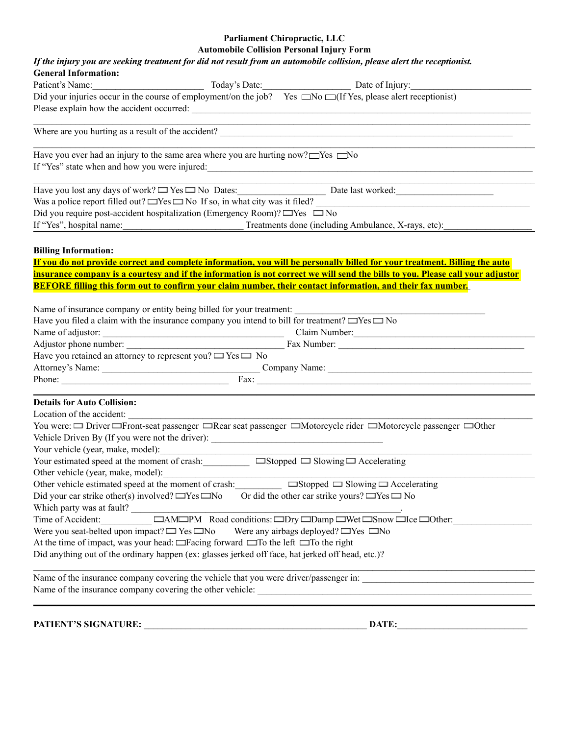## **Parliament Chiropractic, LLC Automobile Collision Personal Injury Form**

| If the injury you are seeking treatment for did not result from an automobile collision, please alert the receptionist.                                                                               |  |  |  |  |  |
|-------------------------------------------------------------------------------------------------------------------------------------------------------------------------------------------------------|--|--|--|--|--|
| <b>General Information:</b>                                                                                                                                                                           |  |  |  |  |  |
| Today's Date: Date of Injury:<br>Patient's Name:<br>Did your injuries occur in the course of employment/on the job? Yes $\Box$ No $\Box$ (If Yes, please alert receptionist)                          |  |  |  |  |  |
|                                                                                                                                                                                                       |  |  |  |  |  |
|                                                                                                                                                                                                       |  |  |  |  |  |
| Have you ever had an injury to the same area where you are hurting now? $\Box$ Yes $\Box$ No<br>If "Yes" state when and how you were injured:<br><u>If</u> "Yes" state when and how you were injured: |  |  |  |  |  |
| Have you lost any days of work? $\Box$ Yes $\Box$ No Dates: Date last worked:                                                                                                                         |  |  |  |  |  |
| Was a police report filled out? $\Box$ Yes $\Box$ No If so, in what city was it filed?                                                                                                                |  |  |  |  |  |
| Did you require post-accident hospitalization (Emergency Room)? $\Box$ Yes $\Box$ No                                                                                                                  |  |  |  |  |  |
| If "Yes", hospital name: Treatments done (including Ambulance, X-rays, etc):                                                                                                                          |  |  |  |  |  |
|                                                                                                                                                                                                       |  |  |  |  |  |
| <b>Billing Information:</b>                                                                                                                                                                           |  |  |  |  |  |
| If you do not provide correct and complete information, you will be personally billed for your treatment. Billing the auto                                                                            |  |  |  |  |  |
| insurance company is a courtesy and if the information is not correct we will send the bills to you. Please call your adjustor                                                                        |  |  |  |  |  |
| <b>BEFORE filling this form out to confirm your claim number, their contact information, and their fax number.</b>                                                                                    |  |  |  |  |  |
| Name of insurance company or entity being billed for your treatment:<br>Have you filed a claim with the insurance company you intend to bill for treatment? $\Box$ Yes $\Box$ No                      |  |  |  |  |  |
|                                                                                                                                                                                                       |  |  |  |  |  |
| Have you retained an attorney to represent you? $\Box$ Yes $\Box$ No                                                                                                                                  |  |  |  |  |  |
|                                                                                                                                                                                                       |  |  |  |  |  |
|                                                                                                                                                                                                       |  |  |  |  |  |
|                                                                                                                                                                                                       |  |  |  |  |  |
| <b>Details for Auto Collision:</b>                                                                                                                                                                    |  |  |  |  |  |
| You were: □ Driver □ Front-seat passenger □ Rear seat passenger □ Motorcycle rider □ Motorcycle passenger □ Other<br>Vehicle Driven By (If you were not the driver): ________________________________ |  |  |  |  |  |
| Your vehicle (year, make, model):                                                                                                                                                                     |  |  |  |  |  |
| Your estimated speed at the moment of crash: $\Box$ Stopped $\Box$ Slowing $\Box$ Accelerating                                                                                                        |  |  |  |  |  |
| Other vehicle (year, make, model):<br>Other vehicle estimated speed at the moment of crash: $\Box$ Stopped $\Box$ Slowing $\Box$ Accelerating                                                         |  |  |  |  |  |
| Did your car strike other(s) involved? $\Box$ Yes $\Box$ No<br>Or did the other car strike yours? $\Box$ Yes $\Box$ No                                                                                |  |  |  |  |  |
|                                                                                                                                                                                                       |  |  |  |  |  |
|                                                                                                                                                                                                       |  |  |  |  |  |
| Were you seat-belted upon impact? $\Box$ Yes $\Box$ No Were any airbags deployed? $\Box$ Yes $\Box$ No                                                                                                |  |  |  |  |  |
| At the time of impact, was your head: $\Box$ Facing forward $\Box$ To the left $\Box$ To the right                                                                                                    |  |  |  |  |  |
| Did anything out of the ordinary happen (ex: glasses jerked off face, hat jerked off head, etc.)?                                                                                                     |  |  |  |  |  |
| Name of the insurance company covering the vehicle that you were driver/passenger in:                                                                                                                 |  |  |  |  |  |
|                                                                                                                                                                                                       |  |  |  |  |  |
|                                                                                                                                                                                                       |  |  |  |  |  |

**PATIENT'S SIGNATURE: \_\_\_\_\_\_\_\_\_\_\_\_\_\_\_\_\_\_\_\_\_\_\_\_\_\_\_\_\_\_\_\_\_\_\_\_\_\_\_\_\_\_\_\_\_\_\_\_ DATE:\_\_\_\_\_\_\_\_\_\_\_\_\_\_\_\_\_\_\_\_\_\_\_\_\_\_\_\_**